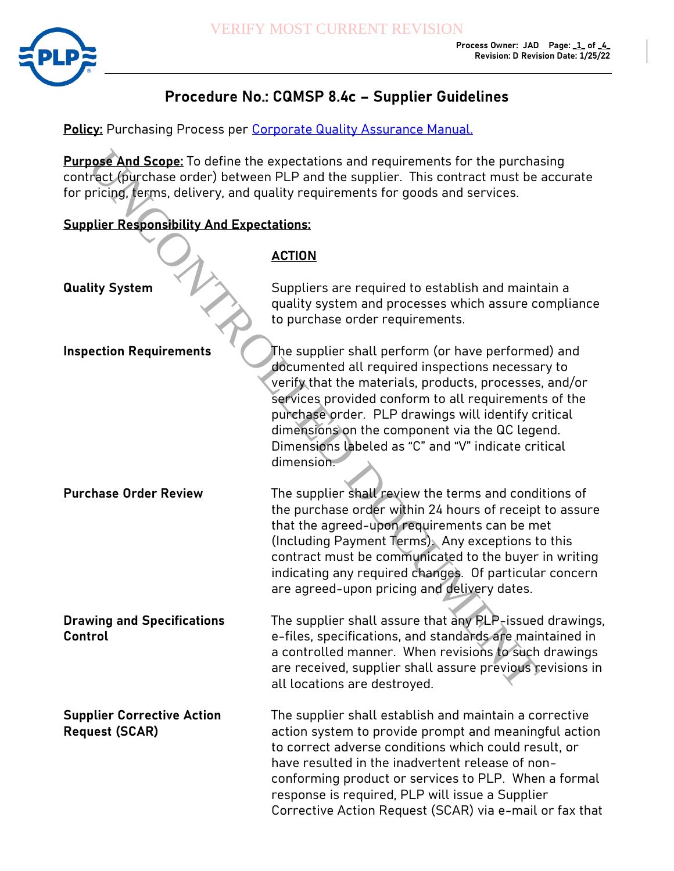

## **Procedure No.: CQMSP 8.4c – Supplier Guidelines**

**Policy:** Purchasing Process per Corporate Quality Assurance Manual.

## **Supplier Responsibility And Expectations:**

## **ACTION**

| <b>Purpose And Scope:</b> To define the expectations and requirements for the purchasing<br>contract (purchase order) between PLP and the supplier. This contract must be accurate<br>for pricing, terms, delivery, and quality requirements for goods and services. |                                                                                                                                                                                                                                                                                                                                                                                                        |  |
|----------------------------------------------------------------------------------------------------------------------------------------------------------------------------------------------------------------------------------------------------------------------|--------------------------------------------------------------------------------------------------------------------------------------------------------------------------------------------------------------------------------------------------------------------------------------------------------------------------------------------------------------------------------------------------------|--|
| <b>Supplier Responsibility And Expectations:</b>                                                                                                                                                                                                                     |                                                                                                                                                                                                                                                                                                                                                                                                        |  |
|                                                                                                                                                                                                                                                                      | <b>ACTION</b>                                                                                                                                                                                                                                                                                                                                                                                          |  |
| <b>Quality System</b>                                                                                                                                                                                                                                                | Suppliers are required to establish and maintain a<br>quality system and processes which assure compliance<br>to purchase order requirements.                                                                                                                                                                                                                                                          |  |
| <b>Inspection Requirements</b>                                                                                                                                                                                                                                       | The supplier shall perform (or have performed) and<br>documented all required inspections necessary to<br>verify that the materials, products, processes, and/or<br>services provided conform to all requirements of the<br>purchase order. PLP drawings will identify critical<br>dimensions on the component via the QC legend.<br>Dimensions labeled as "C" and "V" indicate critical<br>dimension. |  |
| <b>Purchase Order Review</b>                                                                                                                                                                                                                                         | The supplier shall review the terms and conditions of<br>the purchase order within 24 hours of receipt to assure<br>that the agreed-upon requirements can be met<br>(Including Payment Terms). Any exceptions to this<br>contract must be communicated to the buyer in writing<br>indicating any required changes. Of particular concern<br>are agreed-upon pricing and delivery dates.                |  |
| <b>Drawing and Specifications</b><br>Control                                                                                                                                                                                                                         | The supplier shall assure that any PLP-issued drawings,<br>e-files, specifications, and standards are maintained in<br>a controlled manner. When revisions to such drawings<br>are received, supplier shall assure previous revisions in<br>all locations are destroyed.                                                                                                                               |  |
| <b>Supplier Corrective Action</b><br><b>Request (SCAR)</b>                                                                                                                                                                                                           | The supplier shall establish and maintain a corrective<br>action system to provide prompt and meaningful action<br>to correct adverse conditions which could result, or<br>have resulted in the inadvertent release of non-<br>conforming product or services to PLP. When a formal<br>response is required, PLP will issue a Supplier<br>Corrective Action Request (SCAR) via e-mail or fax that      |  |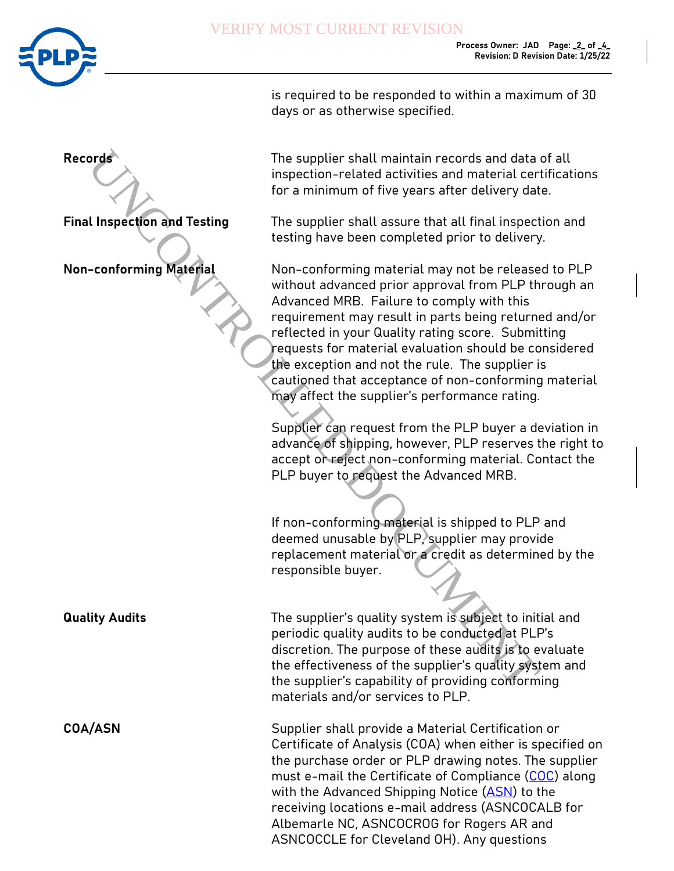

|                                     | is required to be responded to within a maximum of 30<br>days or as otherwise specified.                                                                                                                                                                                                                                                                                                                                                                                                   |
|-------------------------------------|--------------------------------------------------------------------------------------------------------------------------------------------------------------------------------------------------------------------------------------------------------------------------------------------------------------------------------------------------------------------------------------------------------------------------------------------------------------------------------------------|
| <b>Records</b>                      | The supplier shall maintain records and data of all<br>inspection-related activities and material certifications<br>for a minimum of five years after delivery date.                                                                                                                                                                                                                                                                                                                       |
| <b>Final Inspection and Testing</b> | The supplier shall assure that all final inspection and<br>testing have been completed prior to delivery.                                                                                                                                                                                                                                                                                                                                                                                  |
| <b>Non-conforming Material</b>      | Non-conforming material may not be released to PLP<br>without advanced prior approval from PLP through an<br>Advanced MRB. Failure to comply with this<br>requirement may result in parts being returned and/or<br>reflected in your Quality rating score. Submitting<br>requests for material evaluation should be considered<br>the exception and not the rule. The supplier is<br>cautioned that acceptance of non-conforming material<br>may affect the supplier's performance rating. |
|                                     | Supplier can request from the PLP buyer a deviation in<br>advance of shipping, however, PLP reserves the right to<br>accept or reject non-conforming material. Contact the<br>PLP buyer to request the Advanced MRB.                                                                                                                                                                                                                                                                       |
|                                     | If non-conforming material is shipped to PLP and<br>deemed unusable by PLP, supplier may provide<br>replacement material or a credit as determined by the<br>responsible buyer.                                                                                                                                                                                                                                                                                                            |
| <b>Quality Audits</b>               | The supplier's quality system is subject to initial and<br>periodic quality audits to be conducted at PLP's<br>discretion. The purpose of these audits is to evaluate<br>the effectiveness of the supplier's quality system and<br>the supplier's capability of providing conforming<br>materials and/or services to PLP.                                                                                                                                                                  |
| <b>COA/ASN</b>                      | Supplier shall provide a Material Certification or<br>Certificate of Analysis (COA) when either is specified on<br>the purchase order or PLP drawing notes. The supplier<br>must e-mail the Certificate of Compliance (COC) along<br>with the Advanced Shipping Notice (ASN) to the<br>receiving locations e-mail address (ASNCOCALB for<br>Albemarle NC, ASNCOCROG for Rogers AR and<br>ASNCOCCLE for Cleveland OH). Any questions                                                        |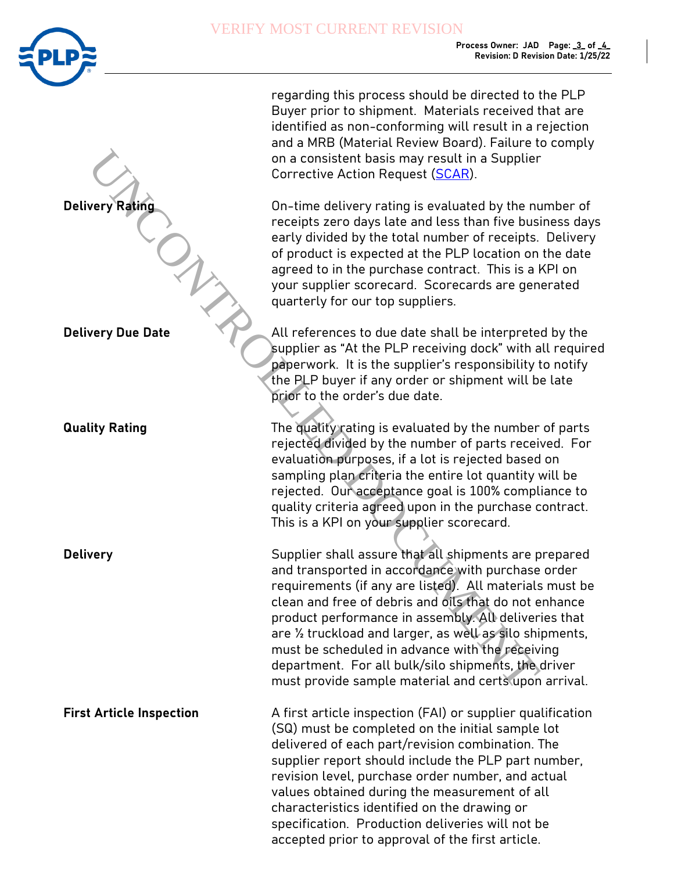

|                                 | regarding this process should be directed to the PLP<br>Buyer prior to shipment. Materials received that are<br>identified as non-conforming will result in a rejection<br>and a MRB (Material Review Board). Failure to comply<br>on a consistent basis may result in a Supplier<br>Corrective Action Request (SCAR).                                                                                                                                                                                               |
|---------------------------------|----------------------------------------------------------------------------------------------------------------------------------------------------------------------------------------------------------------------------------------------------------------------------------------------------------------------------------------------------------------------------------------------------------------------------------------------------------------------------------------------------------------------|
| <b>Delivery Rating</b>          | On-time delivery rating is evaluated by the number of<br>receipts zero days late and less than five business days<br>early divided by the total number of receipts. Delivery<br>of product is expected at the PLP location on the date<br>agreed to in the purchase contract. This is a KPI on<br>your supplier scorecard. Scorecards are generated<br>quarterly for our top suppliers.                                                                                                                              |
| <b>Delivery Due Date</b>        | All references to due date shall be interpreted by the<br>supplier as "At the PLP receiving dock" with all required<br>paperwork. It is the supplier's responsibility to notify<br>the PLP buyer if any order or shipment will be late<br>prior to the order's due date.                                                                                                                                                                                                                                             |
| <b>Quality Rating</b>           | The quality rating is evaluated by the number of parts<br>rejected divided by the number of parts received. For<br>evaluation purposes, if a lot is rejected based on<br>sampling plan criteria the entire lot quantity will be<br>rejected. Our acceptance goal is 100% compliance to<br>quality criteria agreed upon in the purchase contract.<br>This is a KPI on your supplier scorecard.                                                                                                                        |
| <b>Delivery</b>                 | Supplier shall assure that all shipments are prepared<br>and transported in accordance with purchase order<br>requirements (if any are listed). All materials must be<br>clean and free of debris and oils that do not enhance<br>product performance in assembly. All deliveries that<br>are 1/2 truckload and larger, as well as silo shipments,<br>must be scheduled in advance with the receiving<br>department. For all bulk/silo shipments, the driver<br>must provide sample material and certs upon arrival. |
| <b>First Article Inspection</b> | A first article inspection (FAI) or supplier qualification<br>(SQ) must be completed on the initial sample lot<br>delivered of each part/revision combination. The<br>supplier report should include the PLP part number,<br>revision level, purchase order number, and actual<br>values obtained during the measurement of all<br>characteristics identified on the drawing or<br>specification. Production deliveries will not be<br>accepted prior to approval of the first article.                              |